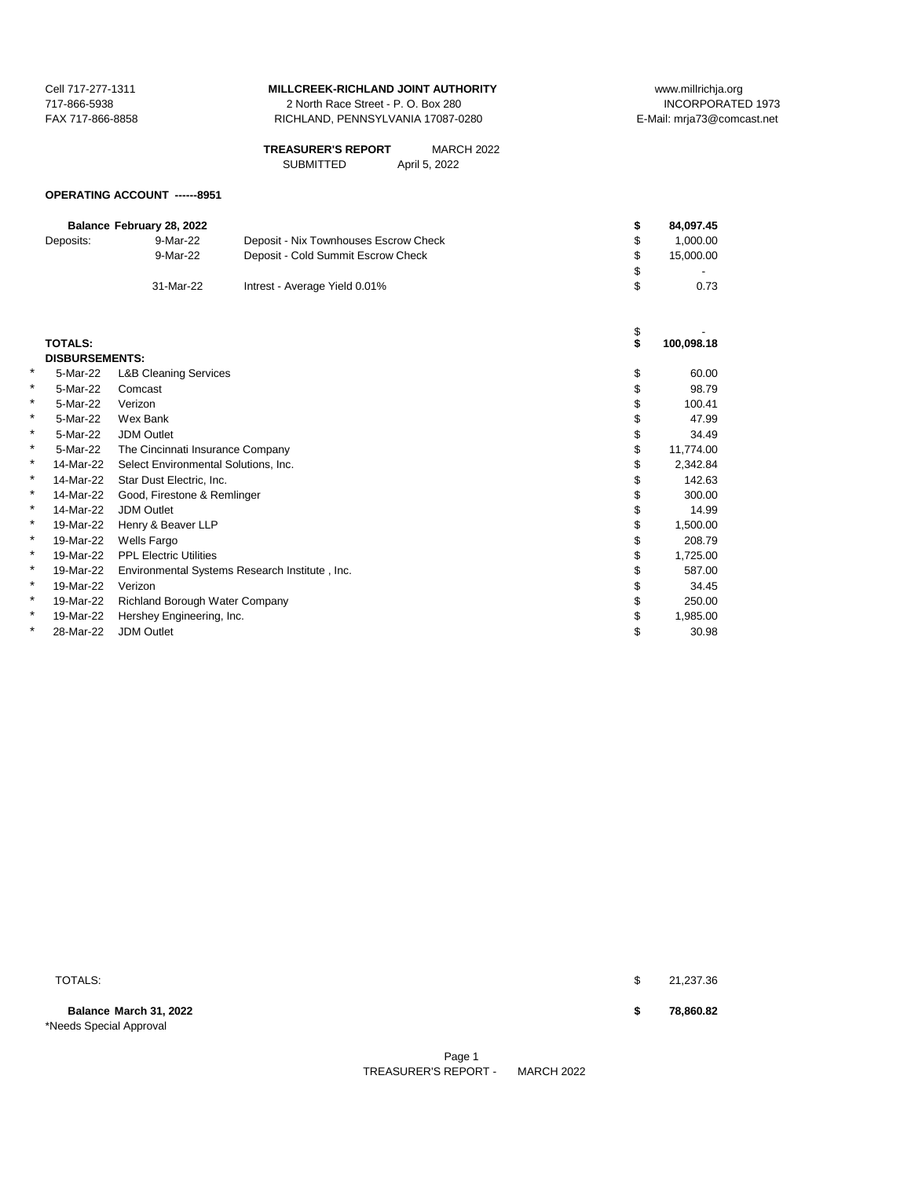| Cell 717-277-1311 |
|-------------------|
| 717-866-5938      |
| FAX 717-866-8858  |

2 North Race Street - P. O. Box 280 RICHLAND, PENNSYLVANIA 17087-0280 E-Mail: mrja73@comcast.net

| <b>TREASURER'S REPORT</b> | <b>MARCH 2022</b> |
|---------------------------|-------------------|
| <b>SUBMITTED</b>          | April 5, 2022     |

# **OPERATING ACCOUNT ------8951**

|   |                       | Balance February 28, 2022            |                                                | \$       | 84,097.45  |
|---|-----------------------|--------------------------------------|------------------------------------------------|----------|------------|
|   | Deposits:             | 9-Mar-22                             | Deposit - Nix Townhouses Escrow Check          | \$       | 1,000.00   |
|   |                       | 9-Mar-22                             | Deposit - Cold Summit Escrow Check             | \$       | 15,000.00  |
|   |                       |                                      |                                                |          |            |
|   |                       | 31-Mar-22                            | Intrest - Average Yield 0.01%                  | \$       | 0.73       |
|   |                       |                                      |                                                |          |            |
|   | <b>TOTALS:</b>        |                                      |                                                | \$<br>\$ | 100,098.18 |
|   | <b>DISBURSEMENTS:</b> |                                      |                                                |          |            |
| * | 5-Mar-22              | <b>L&amp;B Cleaning Services</b>     |                                                | \$       | 60.00      |
| * | 5-Mar-22              | Comcast                              |                                                | \$       | 98.79      |
| * | 5-Mar-22              | Verizon                              |                                                |          | 100.41     |
| * | 5-Mar-22              | Wex Bank                             |                                                |          | 47.99      |
| * | 5-Mar-22              | <b>JDM Outlet</b>                    |                                                | \$       | 34.49      |
| * | 5-Mar-22              | The Cincinnati Insurance Company     |                                                | \$       | 11,774.00  |
| * | 14-Mar-22             | Select Environmental Solutions, Inc. |                                                |          | 2,342.84   |
| * | 14-Mar-22             | Star Dust Electric, Inc.             |                                                | \$       | 142.63     |
| * | 14-Mar-22             | Good, Firestone & Remlinger          |                                                |          | 300.00     |
| * | 14-Mar-22             | <b>JDM Outlet</b>                    |                                                | \$       | 14.99      |
| * | 19-Mar-22             | Henry & Beaver LLP                   |                                                | \$       | 1,500.00   |
| * | 19-Mar-22             | <b>Wells Fargo</b>                   |                                                | \$       | 208.79     |
| * | 19-Mar-22             | <b>PPL Electric Utilities</b>        |                                                | \$       | 1,725.00   |
| * | 19-Mar-22             |                                      | Environmental Systems Research Institute, Inc. | \$       | 587.00     |
| * | 19-Mar-22             | Verizon                              |                                                |          | 34.45      |
| * | 19-Mar-22             | Richland Borough Water Company       |                                                | \$       | 250.00     |
| * | 19-Mar-22             | Hershey Engineering, Inc.            |                                                | \$       | 1,985.00   |
| * | 28-Mar-22             | <b>JDM Outlet</b>                    |                                                | \$       | 30.98      |
|   |                       |                                      |                                                |          |            |

**Balance March 31, 2022 \$ 78,860.82** \*Needs Special Approval

TOTALS: \$ 21,237.36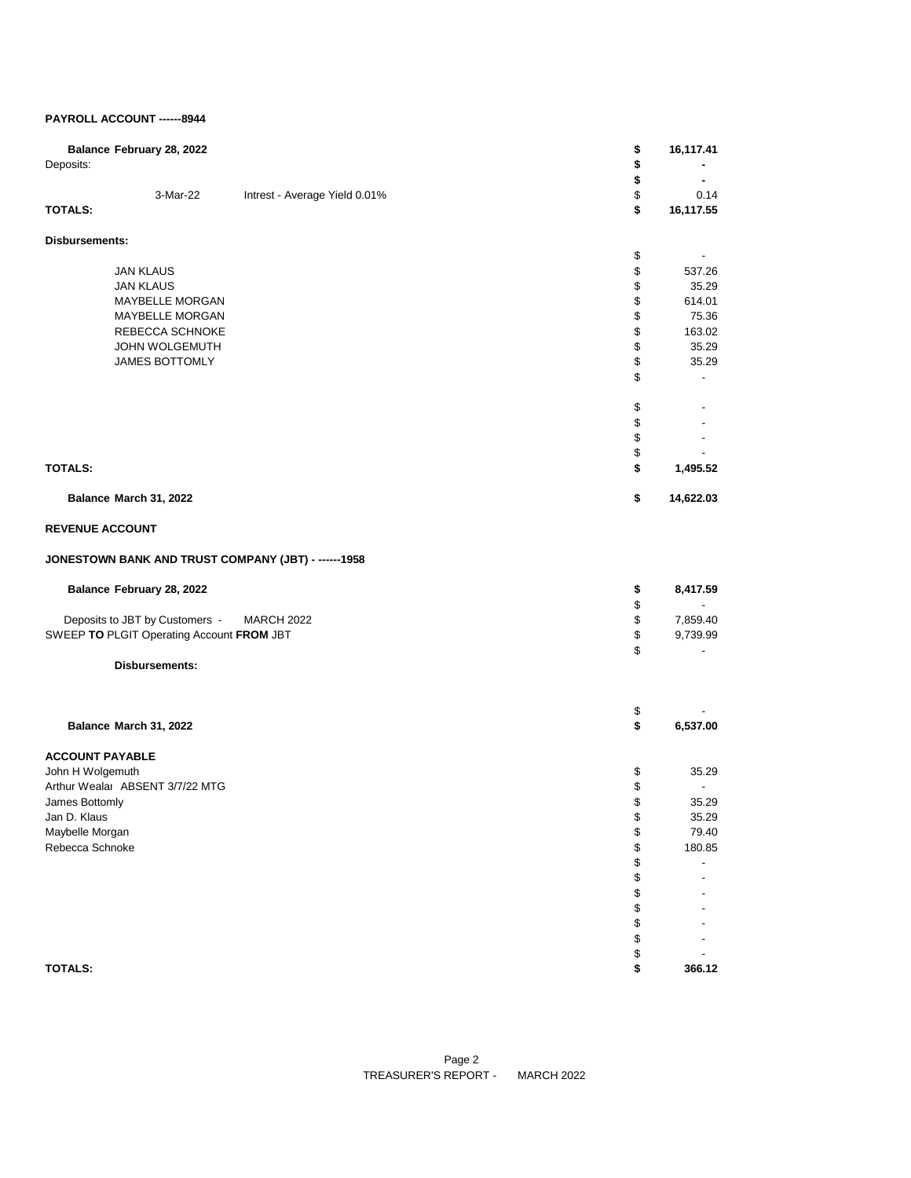### **PAYROLL ACCOUNT ------8944**

| Deposits:              | Balance February 28, 2022                 |                                                     | \$<br>\$ | 16,117.41                |
|------------------------|-------------------------------------------|-----------------------------------------------------|----------|--------------------------|
|                        |                                           |                                                     | \$       |                          |
|                        | 3-Mar-22                                  | Intrest - Average Yield 0.01%                       | \$       | 0.14                     |
| <b>TOTALS:</b>         |                                           |                                                     | \$       | 16,117.55                |
| <b>Disbursements:</b>  |                                           |                                                     |          |                          |
|                        |                                           |                                                     | \$       |                          |
|                        | <b>JAN KLAUS</b>                          |                                                     | \$       | 537.26                   |
|                        | <b>JAN KLAUS</b>                          |                                                     | \$       | 35.29                    |
|                        | MAYBELLE MORGAN                           |                                                     | \$       | 614.01                   |
|                        | MAYBELLE MORGAN                           |                                                     | \$       | 75.36                    |
|                        | REBECCA SCHNOKE                           |                                                     | \$       | 163.02                   |
|                        | <b>JOHN WOLGEMUTH</b>                     |                                                     | \$       | 35.29                    |
|                        | JAMES BOTTOMLY                            |                                                     | \$       | 35.29                    |
|                        |                                           |                                                     | \$       |                          |
|                        |                                           |                                                     | \$       |                          |
|                        |                                           |                                                     | \$       |                          |
|                        |                                           |                                                     | \$       |                          |
|                        |                                           |                                                     | \$       |                          |
| <b>TOTALS:</b>         |                                           |                                                     | \$       | 1,495.52                 |
|                        | Balance March 31, 2022                    |                                                     | \$       | 14,622.03                |
| <b>REVENUE ACCOUNT</b> |                                           |                                                     |          |                          |
|                        |                                           | JONESTOWN BANK AND TRUST COMPANY (JBT) - ------1958 |          |                          |
|                        | Balance February 28, 2022                 |                                                     | \$       | 8,417.59                 |
|                        |                                           |                                                     | \$       | $\blacksquare$           |
|                        | Deposits to JBT by Customers -            | <b>MARCH 2022</b>                                   | \$       | 7,859.40                 |
|                        | SWEEP TO PLGIT Operating Account FROM JBT |                                                     | \$       | 9,739.99                 |
|                        |                                           |                                                     | \$       |                          |
|                        | Disbursements:                            |                                                     |          |                          |
|                        |                                           |                                                     | \$       |                          |
|                        | Balance March 31, 2022                    |                                                     | \$       | 6,537.00                 |
| <b>ACCOUNT PAYABLE</b> |                                           |                                                     |          |                          |
| John H Wolgemuth       |                                           |                                                     | \$       | 35.29                    |
|                        | Arthur Wealai ABSENT 3/7/22 MTG           |                                                     | \$       | $\overline{\phantom{a}}$ |
| James Bottomly         |                                           |                                                     | \$       | 35.29                    |
| Jan D. Klaus           |                                           |                                                     | \$       | 35.29                    |
| Maybelle Morgan        |                                           |                                                     | \$       | 79.40                    |
| Rebecca Schnoke        |                                           |                                                     | \$       | 180.85                   |
|                        |                                           |                                                     | \$       |                          |
|                        |                                           |                                                     | \$       |                          |
|                        |                                           |                                                     | \$       |                          |
|                        |                                           |                                                     | \$       |                          |
|                        |                                           |                                                     | \$       |                          |
|                        |                                           |                                                     | \$       |                          |
|                        |                                           |                                                     | \$       |                          |
| <b>TOTALS:</b>         |                                           |                                                     | \$       | 366.12                   |